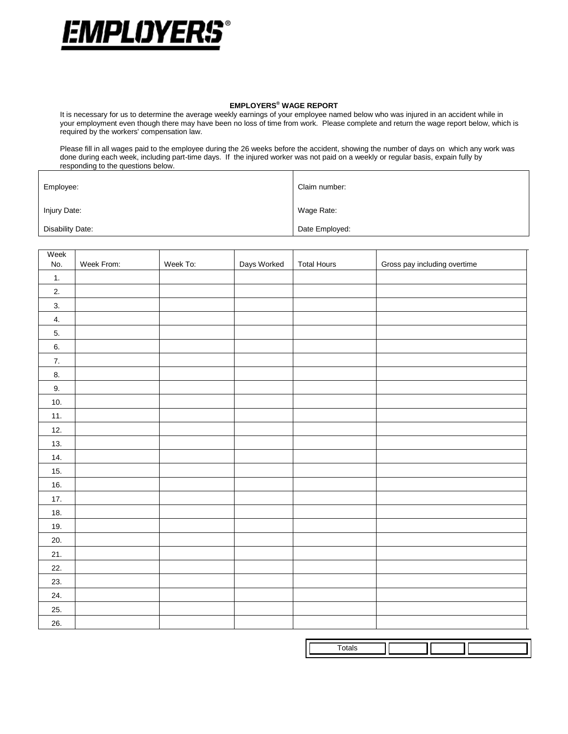

## **EMPLOYERS® WAGE REPORT**

It is necessary for us to determine the average weekly earnings of your employee named below who was injured in an accident while in your employment even though there may have been no loss of time from work. Please complete and return the wage report below, which is required by the workers' compensation law.

Please fill in all wages paid to the employee during the 26 weeks before the accident, showing the number of days on which any work was done during each week, including part-time days. If the injured worker was not paid on a weekly or regular basis, expain fully by responding to the questions below.

| Employee:        | Claim number:  |
|------------------|----------------|
| Injury Date:     | Wage Rate:     |
| Disability Date: | Date Employed: |

| Week<br>No. | Week From: | Week To: | Days Worked | <b>Total Hours</b> | Gross pay including overtime |
|-------------|------------|----------|-------------|--------------------|------------------------------|
| 1.          |            |          |             |                    |                              |
| 2.          |            |          |             |                    |                              |
| 3.          |            |          |             |                    |                              |
| 4.          |            |          |             |                    |                              |
| 5.          |            |          |             |                    |                              |
| 6.          |            |          |             |                    |                              |
| 7.          |            |          |             |                    |                              |
| 8.          |            |          |             |                    |                              |
| 9.          |            |          |             |                    |                              |
| 10.         |            |          |             |                    |                              |
| 11.         |            |          |             |                    |                              |
| 12.         |            |          |             |                    |                              |
| 13.         |            |          |             |                    |                              |
| 14.         |            |          |             |                    |                              |
| 15.         |            |          |             |                    |                              |
| 16.         |            |          |             |                    |                              |
| 17.         |            |          |             |                    |                              |
| 18.         |            |          |             |                    |                              |
| 19.         |            |          |             |                    |                              |
| 20.         |            |          |             |                    |                              |
| 21.         |            |          |             |                    |                              |
| 22.         |            |          |             |                    |                              |
| 23.         |            |          |             |                    |                              |
| 24.         |            |          |             |                    |                              |
| 25.         |            |          |             |                    |                              |
| 26.         |            |          |             |                    |                              |

| . |  |  |
|---|--|--|
|   |  |  |